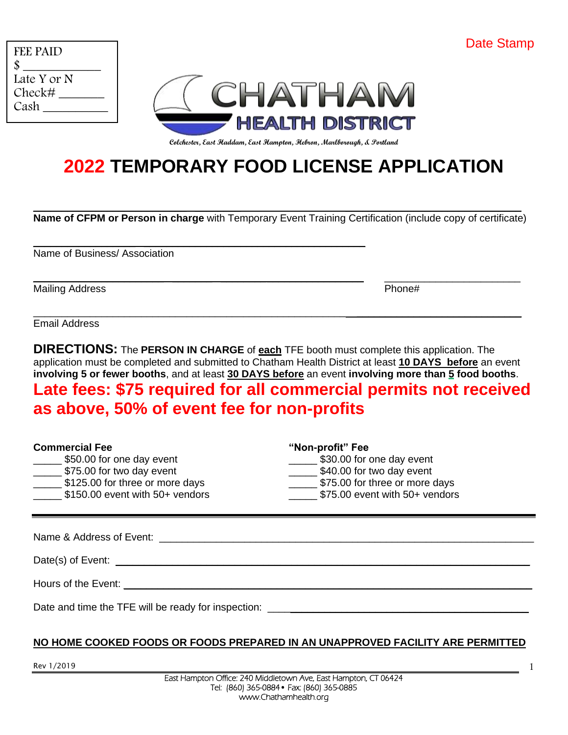|  | <b>Date Stamp</b> |
|--|-------------------|
|--|-------------------|

| FEE PAID<br>\$ |  |
|----------------|--|
| Late Y or N    |  |
| Check#<br>Cash |  |



**Colchester, East Haddam, East Hampton, Hebron, Marlborough, & Portland**

# **2022 TEMPORARY FOOD LICENSE APPLICATION**

 $\_$  , and the set of the set of the set of the set of the set of the set of the set of the set of the set of the set of the set of the set of the set of the set of the set of the set of the set of the set of the set of th **Name of CFPM or Person in charge** with Temporary Event Training Certification (include copy of certificate)

 $\mathcal{L}_\mathcal{L} = \mathcal{L}_\mathcal{L} = \mathcal{L}_\mathcal{L} = \mathcal{L}_\mathcal{L} = \mathcal{L}_\mathcal{L} = \mathcal{L}_\mathcal{L} = \mathcal{L}_\mathcal{L} = \mathcal{L}_\mathcal{L} = \mathcal{L}_\mathcal{L} = \mathcal{L}_\mathcal{L} = \mathcal{L}_\mathcal{L} = \mathcal{L}_\mathcal{L} = \mathcal{L}_\mathcal{L} = \mathcal{L}_\mathcal{L} = \mathcal{L}_\mathcal{L} = \mathcal{L}_\mathcal{L} = \mathcal{L}_\mathcal{L}$ 

\_\_\_\_\_\_\_\_\_\_\_\_\_\_\_\_\_\_\_\_\_\_\_\_\_\_\_\_\_\_\_\_\_\_\_\_\_\_\_\_\_\_\_\_\_\_\_\_\_\_\_\_\_\_\_ \_\_\_\_\_\_\_\_\_\_\_\_\_\_\_\_\_\_\_\_\_\_\_\_\_\_\_\_\_

\_\_\_\_\_\_\_\_\_\_\_\_\_\_\_\_\_\_ \_\_\_\_\_\_\_\_\_\_\_\_\_\_\_\_\_\_\_\_\_\_\_\_\_\_\_\_\_\_\_\_\_\_\_\_\_\_\_

Name of Business/ Association

Mailing Address **Phone 2018 Phone 2018 Phone 2018 Phone 2018 Phone 2018 Phone 2018 Phone 2018 Phone 2018 Phone 2018 Phone 2018 Phone 2018 Phone 2018 Phone 2018 Phone 2018 Phone 2018 Phone 2018** 

Email Address

**DIRECTIONS:** The **PERSON IN CHARGE** of **each** TFE booth must complete this application. The application must be completed and submitted to Chatham Health District at least **10 DAYS before** an event **involving 5 or fewer booths**, and at least **30 DAYS before** an event **involving more than 5 food booths**.

## **Late fees: \$75 required for all commercial permits not received as above, 50% of event fee for non-profits**

| <b>Commercial Fee</b>           | "Non-profit" Fee               |
|---------------------------------|--------------------------------|
| \$50.00 for one day event       | \$30.00 for one day event      |
| \$75.00 for two day event       | \$40.00 for two day event      |
| \$125.00 for three or more days | \$75.00 for three or more days |
| \$150.00 event with 50+ vendors | \$75.00 event with 50+ vendors |

Name & Address of Event: \_\_\_\_\_\_\_\_\_\_\_\_\_\_\_\_\_\_\_\_\_\_\_\_\_\_\_\_\_\_\_\_\_\_\_\_\_\_\_\_\_\_\_\_\_\_\_\_\_\_\_\_\_\_\_\_\_\_\_\_\_\_\_\_\_\_

Date(s) of Event: \_\_\_\_\_\_\_\_\_\_\_\_\_\_\_\_\_\_\_\_\_\_\_\_\_\_\_\_\_\_\_\_\_\_\_\_\_\_\_\_\_\_\_\_\_\_\_\_\_\_\_\_\_\_\_\_\_\_\_\_\_\_\_\_\_\_\_\_\_\_\_\_\_

Hours of the Event:

Date and time the TFE will be ready for inspection: \_\_\_\_\_\_\_\_\_\_\_\_\_\_\_\_\_\_\_\_\_\_\_\_\_\_\_\_

#### **NO HOME COOKED FOODS OR FOODS PREPARED IN AN UNAPPROVED FACILITY ARE PERMITTED**

Rev 1/2019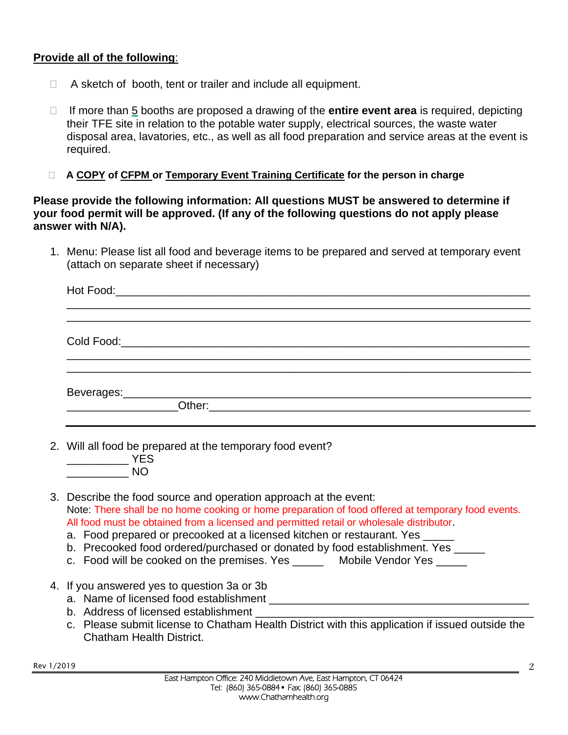### **Provide all of the following**:

- $\Box$  A sketch of booth, tent or trailer and include all equipment.
- □ If more than 5 booths are proposed a drawing of the **entire event area** is required, depicting their TFE site in relation to the potable water supply, electrical sources, the waste water disposal area, lavatories, etc., as well as all food preparation and service areas at the event is required.
- **A COPY of CFPM or Temporary Event Training Certificate for the person in charge**

**Please provide the following information: All questions MUST be answered to determine if your food permit will be approved. (If any of the following questions do not apply please answer with N/A).**

1. Menu: Please list all food and beverage items to be prepared and served at temporary event (attach on separate sheet if necessary)

| 2. Will all food be prepared at the temporary food event?<br>$\frac{1}{2}$ YES<br>$\overline{\phantom{a}}$ NO                                                                                                                                                                                                                                                                                                                                                                                                        |  |  |
|----------------------------------------------------------------------------------------------------------------------------------------------------------------------------------------------------------------------------------------------------------------------------------------------------------------------------------------------------------------------------------------------------------------------------------------------------------------------------------------------------------------------|--|--|
| 3. Describe the food source and operation approach at the event:<br>Note: There shall be no home cooking or home preparation of food offered at temporary food events.<br>All food must be obtained from a licensed and permitted retail or wholesale distributor.<br>a. Food prepared or precooked at a licensed kitchen or restaurant. Yes _____<br>b. Precooked food ordered/purchased or donated by food establishment. Yes _____<br>c. Food will be cooked on the premises. Yes _______ Mobile Vendor Yes _____ |  |  |
| 4. If you answered yes to question 3a or 3b<br>b. Address of licensed establishment <b>contract to the extent of the state of the state of the state of the state of the state of the state of the state of the state of the state of the state of the state of the state of th</b><br>c. Please submit license to Chatham Health District with this application if issued outside the<br><b>Chatham Health District.</b>                                                                                            |  |  |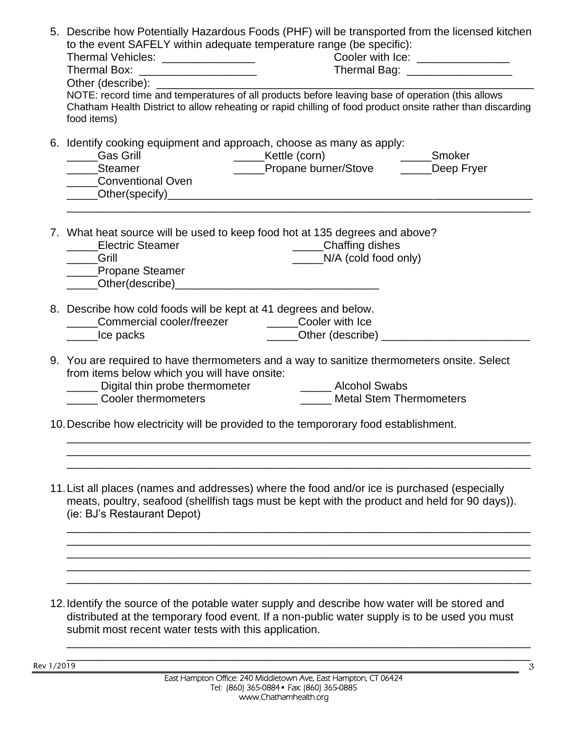| 5. Describe how Potentially Hazardous Foods (PHF) will be transported from the licensed kitchen<br>to the event SAFELY within adequate temperature range (be specific):<br>Cooler with Ice: ______________<br>Thermal Bag: ____________________<br>Other (describe): <u>contract and the contract of the contract of the contract of the contract of the contract of the contract of the contract of the contract of the contract of the contract of the contract of the contract o</u> |
|-----------------------------------------------------------------------------------------------------------------------------------------------------------------------------------------------------------------------------------------------------------------------------------------------------------------------------------------------------------------------------------------------------------------------------------------------------------------------------------------|
| NOTE: record time and temperatures of all products before leaving base of operation (this allows<br>Chatham Health District to allow reheating or rapid chilling of food product onsite rather than discarding<br>food items)                                                                                                                                                                                                                                                           |
| 6. Identify cooking equipment and approach, choose as many as apply:<br><b>Gas Grill</b><br>______Kettle (corn)<br>_____Propane burner/Stove   _____Deep Fr<br>Deep Fryer<br>_____Steamer<br>Conventional Oven                                                                                                                                                                                                                                                                          |
| 7. What heat source will be used to keep food hot at 135 degrees and above?<br>____Electric Steamer<br>_____Chaffing dishes<br>$N/A$ (cold food only)<br><u>Carill</u><br>____Propane Steamer                                                                                                                                                                                                                                                                                           |
| 8. Describe how cold foods will be kept at 41 degrees and below.<br>Commercial cooler/freezer ________Cooler with Ice<br>Lice packs                                                                                                                                                                                                                                                                                                                                                     |
| 9. You are required to have thermometers and a way to sanitize thermometers onsite. Select<br>from items below which you will have onsite:<br>Digital thin probe thermometer <b>Communist Communist Communist Communist Communist Communist Communist Communist</b><br><b>Cooler thermometers</b><br><b>Metal Stem Thermometers</b>                                                                                                                                                     |
| 10. Describe how electricity will be provided to the tempororary food establishment.                                                                                                                                                                                                                                                                                                                                                                                                    |
| 11. List all places (names and addresses) where the food and/or ice is purchased (especially<br>meats, poultry, seafood (shellfish tags must be kept with the product and held for 90 days)).<br>(ie: BJ's Restaurant Depot)                                                                                                                                                                                                                                                            |
| 12. Identify the source of the potable water supply and describe how water will be stored and<br>distributed at the temporary food event. If a non-public water supply is to be used you must<br>submit most recent water tests with this application.                                                                                                                                                                                                                                  |

Rev 1/2019

\_\_\_\_\_\_\_\_\_\_\_\_\_\_\_\_\_\_\_\_\_\_\_\_\_\_\_\_\_\_\_\_\_\_\_\_\_\_\_\_\_\_\_\_\_\_\_\_\_\_\_\_\_\_\_\_\_\_\_\_\_\_\_\_\_\_\_\_\_\_\_\_\_\_\_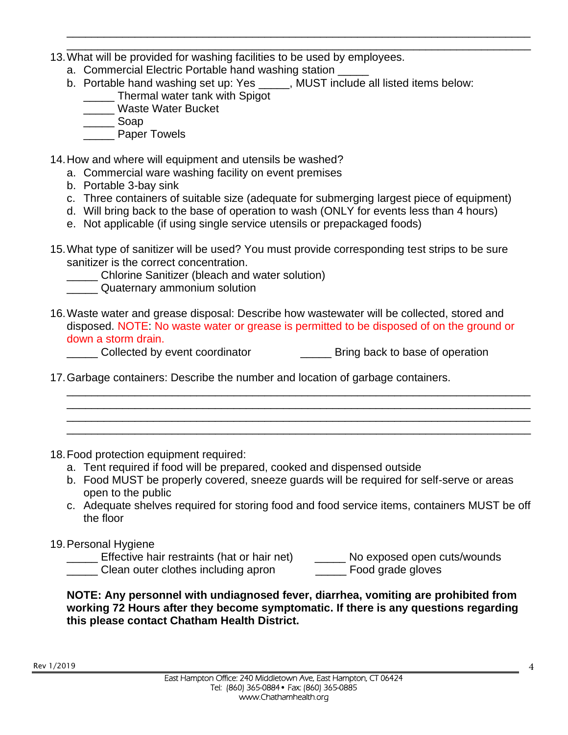- \_\_\_\_\_\_\_\_\_\_\_\_\_\_\_\_\_\_\_\_\_\_\_\_\_\_\_\_\_\_\_\_\_\_\_\_\_\_\_\_\_\_\_\_\_\_\_\_\_\_\_\_\_\_\_\_\_\_\_\_\_\_\_\_\_\_\_\_\_\_\_\_\_\_\_ 13.What will be provided for washing facilities to be used by employees.
	- a. Commercial Electric Portable hand washing station
	- b. Portable hand washing set up: Yes \_\_\_\_\_, MUST include all listed items below:

\_\_\_\_\_\_\_\_\_\_\_\_\_\_\_\_\_\_\_\_\_\_\_\_\_\_\_\_\_\_\_\_\_\_\_\_\_\_\_\_\_\_\_\_\_\_\_\_\_\_\_\_\_\_\_\_\_\_\_\_\_\_\_\_\_\_\_\_\_\_\_\_\_\_\_

- **\_\_\_\_\_** Thermal water tank with Spigot
- \_\_\_\_\_ Waste Water Bucket
- \_\_\_\_\_ Soap
- \_\_\_\_\_ Paper Towels
- 14.How and where will equipment and utensils be washed?
	- a. Commercial ware washing facility on event premises
	- b. Portable 3-bay sink
	- c. Three containers of suitable size (adequate for submerging largest piece of equipment)
	- d. Will bring back to the base of operation to wash (ONLY for events less than 4 hours)
	- e. Not applicable (if using single service utensils or prepackaged foods)
- 15.What type of sanitizer will be used? You must provide corresponding test strips to be sure sanitizer is the correct concentration.
	- Chlorine Sanitizer (bleach and water solution)
	- \_\_\_\_\_ Quaternary ammonium solution
- 16.Waste water and grease disposal: Describe how wastewater will be collected, stored and disposed. NOTE: No waste water or grease is permitted to be disposed of on the ground or down a storm drain.
	- \_\_\_\_\_ Collected by event coordinator \_\_\_\_\_ Bring back to base of operation
- 17.Garbage containers: Describe the number and location of garbage containers.
- 18.Food protection equipment required:
	- a. Tent required if food will be prepared, cooked and dispensed outside
	- b. Food MUST be properly covered, sneeze guards will be required for self-serve or areas open to the public
	- c. Adequate shelves required for storing food and food service items, containers MUST be off the floor

\_\_\_\_\_\_\_\_\_\_\_\_\_\_\_\_\_\_\_\_\_\_\_\_\_\_\_\_\_\_\_\_\_\_\_\_\_\_\_\_\_\_\_\_\_\_\_\_\_\_\_\_\_\_\_\_\_\_\_\_\_\_\_\_\_\_\_\_\_\_\_\_\_\_\_ \_\_\_\_\_\_\_\_\_\_\_\_\_\_\_\_\_\_\_\_\_\_\_\_\_\_\_\_\_\_\_\_\_\_\_\_\_\_\_\_\_\_\_\_\_\_\_\_\_\_\_\_\_\_\_\_\_\_\_\_\_\_\_\_\_\_\_\_\_\_\_\_\_\_\_ \_\_\_\_\_\_\_\_\_\_\_\_\_\_\_\_\_\_\_\_\_\_\_\_\_\_\_\_\_\_\_\_\_\_\_\_\_\_\_\_\_\_\_\_\_\_\_\_\_\_\_\_\_\_\_\_\_\_\_\_\_\_\_\_\_\_\_\_\_\_\_\_\_\_\_ \_\_\_\_\_\_\_\_\_\_\_\_\_\_\_\_\_\_\_\_\_\_\_\_\_\_\_\_\_\_\_\_\_\_\_\_\_\_\_\_\_\_\_\_\_\_\_\_\_\_\_\_\_\_\_\_\_\_\_\_\_\_\_\_\_\_\_\_\_\_\_\_\_\_\_

### 19.Personal Hygiene

| Effective hair restraints (hat or hair net) | No exposed open cuts/wounds |
|---------------------------------------------|-----------------------------|
| Clean outer clothes including apron         | Food grade gloves           |

#### **NOTE: Any personnel with undiagnosed fever, diarrhea, vomiting are prohibited from working 72 Hours after they become symptomatic. If there is any questions regarding this please contact Chatham Health District.**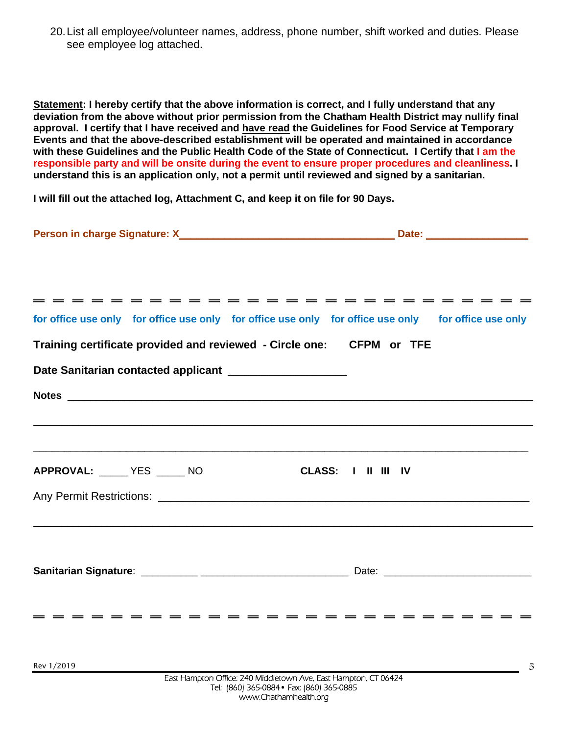20.List all employee/volunteer names, address, phone number, shift worked and duties. Please see employee log attached.

**Statement: I hereby certify that the above information is correct, and I fully understand that any deviation from the above without prior permission from the Chatham Health District may nullify final approval. I certify that I have received and have read the Guidelines for Food Service at Temporary Events and that the above-described establishment will be operated and maintained in accordance with these Guidelines and the Public Health Code of the State of Connecticut. I Certify that I am the responsible party and will be onsite during the event to ensure proper procedures and cleanliness. I understand this is an application only, not a permit until reviewed and signed by a sanitarian.** 

**I will fill out the attached log, Attachment C, and keep it on file for 90 Days.** 

|                                                                      | for office use only for office use only for office use only for office use only for office use only                                                                                                                                  |
|----------------------------------------------------------------------|--------------------------------------------------------------------------------------------------------------------------------------------------------------------------------------------------------------------------------------|
| Training certificate provided and reviewed - Circle one: CFPM or TFE |                                                                                                                                                                                                                                      |
| Date Sanitarian contacted applicant _____________________            |                                                                                                                                                                                                                                      |
|                                                                      |                                                                                                                                                                                                                                      |
|                                                                      |                                                                                                                                                                                                                                      |
|                                                                      | <u>. In the second control of the second control of the second control of the second control of the second control of the second control of the second control of the second control of the second control of the second control</u> |
| APPROVAL: YES NO                                                     | CLASS: I II III IV                                                                                                                                                                                                                   |
|                                                                      |                                                                                                                                                                                                                                      |
|                                                                      |                                                                                                                                                                                                                                      |
|                                                                      |                                                                                                                                                                                                                                      |
|                                                                      |                                                                                                                                                                                                                                      |
|                                                                      |                                                                                                                                                                                                                                      |
|                                                                      |                                                                                                                                                                                                                                      |
|                                                                      |                                                                                                                                                                                                                                      |
|                                                                      |                                                                                                                                                                                                                                      |
| Rev 1/2019                                                           | Ę<br>East Hampton Office: 240 Middletown Ave. East Hampton, CT 06424                                                                                                                                                                 |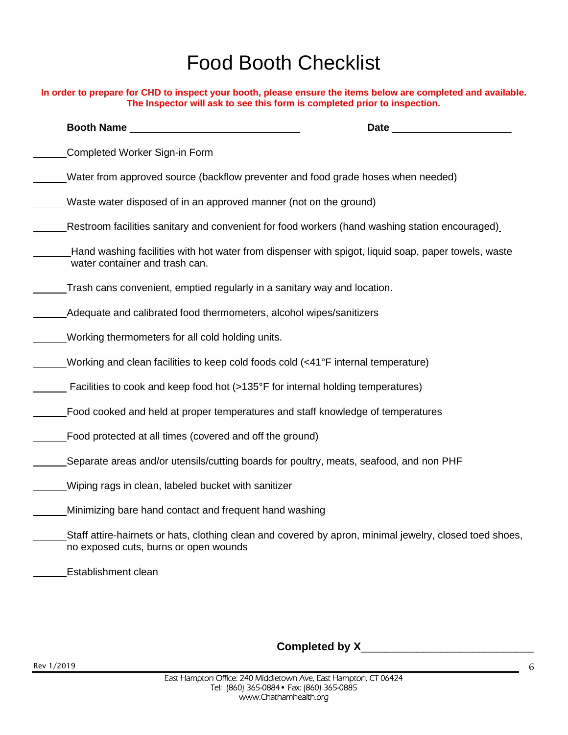# Food Booth Checklist

| In order to prepare for CHD to inspect your booth, please ensure the items below are completed and available.<br>The Inspector will ask to see this form is completed prior to inspection. |  |  |
|--------------------------------------------------------------------------------------------------------------------------------------------------------------------------------------------|--|--|
| Booth Name                                                                                                                                                                                 |  |  |
| Completed Worker Sign-in Form                                                                                                                                                              |  |  |
| Water from approved source (backflow preventer and food grade hoses when needed)                                                                                                           |  |  |
| Waste water disposed of in an approved manner (not on the ground)                                                                                                                          |  |  |
| Restroom facilities sanitary and convenient for food workers (hand washing station encouraged)                                                                                             |  |  |
| Hand washing facilities with hot water from dispenser with spigot, liquid soap, paper towels, waste<br>water container and trash can.                                                      |  |  |
| Trash cans convenient, emptied regularly in a sanitary way and location.                                                                                                                   |  |  |
| Adequate and calibrated food thermometers, alcohol wipes/sanitizers                                                                                                                        |  |  |
| Working thermometers for all cold holding units.                                                                                                                                           |  |  |
| Working and clean facilities to keep cold foods cold (<41°F internal temperature)                                                                                                          |  |  |
| Facilities to cook and keep food hot (>135°F for internal holding temperatures)                                                                                                            |  |  |
| Food cooked and held at proper temperatures and staff knowledge of temperatures                                                                                                            |  |  |
| Food protected at all times (covered and off the ground)                                                                                                                                   |  |  |
| Separate areas and/or utensils/cutting boards for poultry, meats, seafood, and non PHF                                                                                                     |  |  |
| Wiping rags in clean, labeled bucket with sanitizer                                                                                                                                        |  |  |
| Minimizing bare hand contact and frequent hand washing                                                                                                                                     |  |  |
| Staff attire-hairnets or hats, clothing clean and covered by apron, minimal jewelry, closed toed shoes,<br>no exposed cuts, burns or open wounds                                           |  |  |
| Establishment clean                                                                                                                                                                        |  |  |

**Completed by X**\_\_\_\_\_\_\_\_\_\_\_\_\_\_\_\_\_\_\_\_\_\_\_\_\_\_\_\_